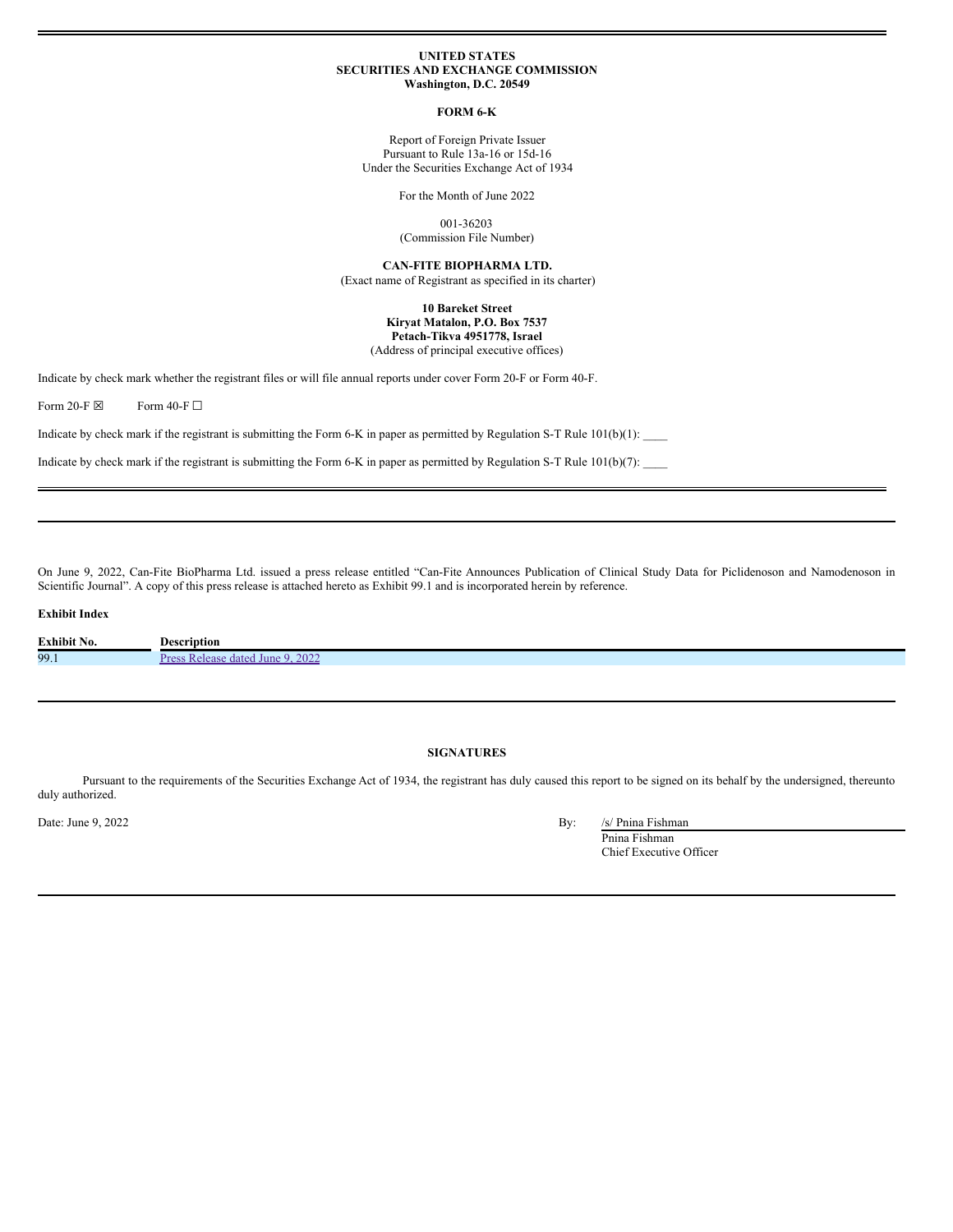## **UNITED STATES SECURITIES AND EXCHANGE COMMISSION Washington, D.C. 20549**

### **FORM 6-K**

Report of Foreign Private Issuer Pursuant to Rule 13a-16 or 15d-16 Under the Securities Exchange Act of 1934

For the Month of June 2022

001-36203

(Commission File Number)

**CAN-FITE BIOPHARMA LTD.**

(Exact name of Registrant as specified in its charter)

## **10 Bareket Street Kiryat Matalon, P.O. Box 7537 Petach-Tikva 4951778, Israel** (Address of principal executive offices)

Indicate by check mark whether the registrant files or will file annual reports under cover Form 20-F or Form 40-F.

Form 20-F  $\boxtimes$  Form 40-F  $\Box$ 

Indicate by check mark if the registrant is submitting the Form 6-K in paper as permitted by Regulation S-T Rule  $101(b)(1):$ 

Indicate by check mark if the registrant is submitting the Form 6-K in paper as permitted by Regulation S-T Rule 101(b)(7): \_\_\_\_

On June 9, 2022, Can-Fite BioPharma Ltd. issued a press release entitled "Can-Fite Announces Publication of Clinical Study Data for Piclidenoson and Namodenoson in Scientific Journal". A copy of this press release is attached hereto as Exhibit 99.1 and is incorporated herein by reference.

# **Exhibit Index**

| Exhibit No. | Description                     |
|-------------|---------------------------------|
| 99.1        | 2022<br>June<br><b>date</b><br> |

# **SIGNATURES**

Pursuant to the requirements of the Securities Exchange Act of 1934, the registrant has duly caused this report to be signed on its behalf by the undersigned, thereunto duly authorized.

Date: June 9, 2022 By: /s/ Pnina Fishman

Pnina Fishman Chief Executive Officer